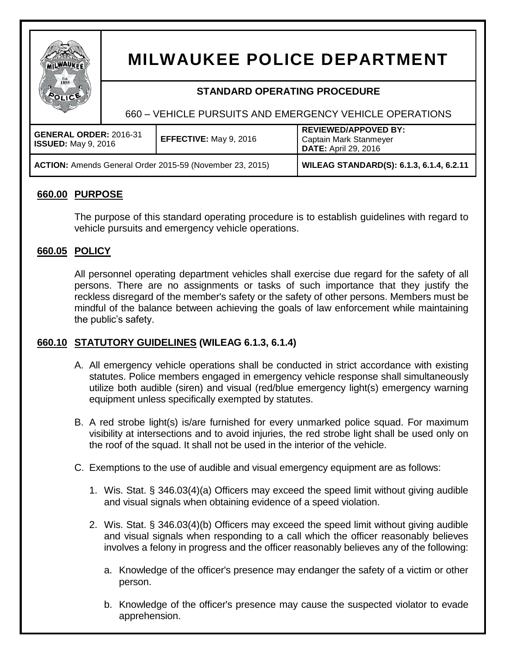

# **MILWAUKEE POLICE DEPARTMENT**

# **STANDARD OPERATING PROCEDURE**

660 – VEHICLE PURSUITS AND EMERGENCY VEHICLE OPERATIONS

| <b>GENERAL ORDER: 2016-31</b><br><b>ISSUED:</b> May 9, 2016     | <b>EFFECTIVE:</b> May 9, 2016 | <b>REVIEWED/APPOVED BY:</b><br>Captain Mark Stanmeyer<br><b>DATE:</b> April 29, 2016 |
|-----------------------------------------------------------------|-------------------------------|--------------------------------------------------------------------------------------|
| <b>ACTION:</b> Amends General Order 2015-59 (November 23, 2015) |                               | <b>WILEAG STANDARD(S): 6.1.3, 6.1.4, 6.2.11</b>                                      |

# **660.00 PURPOSE**

The purpose of this standard operating procedure is to establish guidelines with regard to vehicle pursuits and emergency vehicle operations.

# **660.05 POLICY**

All personnel operating department vehicles shall exercise due regard for the safety of all persons. There are no assignments or tasks of such importance that they justify the reckless disregard of the member's safety or the safety of other persons. Members must be mindful of the balance between achieving the goals of law enforcement while maintaining the public's safety.

## **660.10 STATUTORY GUIDELINES (WILEAG 6.1.3, 6.1.4)**

- A. All emergency vehicle operations shall be conducted in strict accordance with existing statutes. Police members engaged in emergency vehicle response shall simultaneously utilize both audible (siren) and visual (red/blue emergency light(s) emergency warning equipment unless specifically exempted by statutes.
- B. A red strobe light(s) is/are furnished for every unmarked police squad. For maximum visibility at intersections and to avoid injuries, the red strobe light shall be used only on the roof of the squad. It shall not be used in the interior of the vehicle.
- C. Exemptions to the use of audible and visual emergency equipment are as follows:
	- 1. Wis. Stat. § 346.03(4)(a) Officers may exceed the speed limit without giving audible and visual signals when obtaining evidence of a speed violation.
	- 2. Wis. Stat. § 346.03(4)(b) Officers may exceed the speed limit without giving audible and visual signals when responding to a call which the officer reasonably believes involves a felony in progress and the officer reasonably believes any of the following:
		- a. Knowledge of the officer's presence may endanger the safety of a victim or other person.
		- b. Knowledge of the officer's presence may cause the suspected violator to evade apprehension.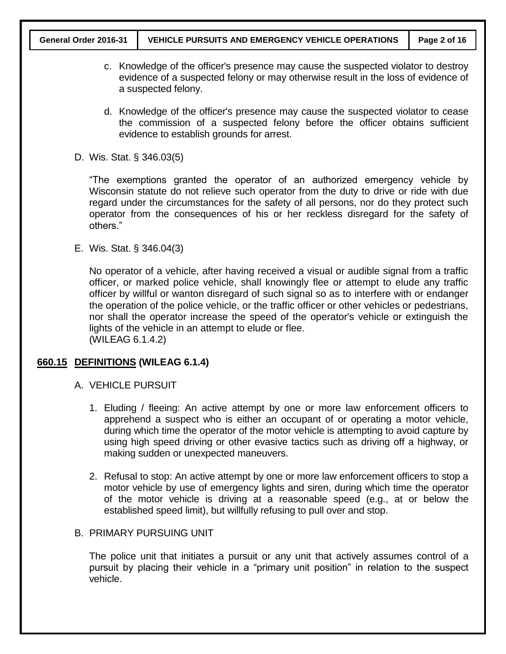- c. Knowledge of the officer's presence may cause the suspected violator to destroy evidence of a suspected felony or may otherwise result in the loss of evidence of a suspected felony.
- d. Knowledge of the officer's presence may cause the suspected violator to cease the commission of a suspected felony before the officer obtains sufficient evidence to establish grounds for arrest.
- D. Wis. Stat. § 346.03(5)

"The exemptions granted the operator of an authorized emergency vehicle by Wisconsin statute do not relieve such operator from the duty to drive or ride with due regard under the circumstances for the safety of all persons, nor do they protect such operator from the consequences of his or her reckless disregard for the safety of others."

E. Wis. Stat. § 346.04(3)

No operator of a vehicle, after having received a visual or audible signal from a traffic officer, or marked police vehicle, shall knowingly flee or attempt to elude any traffic officer by willful or wanton disregard of such signal so as to interfere with or endanger the operation of the police vehicle, or the traffic officer or other vehicles or pedestrians, nor shall the operator increase the speed of the operator's vehicle or extinguish the lights of the vehicle in an attempt to elude or flee. (WILEAG 6.1.4.2)

#### **660.15 DEFINITIONS (WILEAG 6.1.4)**

- A. VEHICLE PURSUIT
	- 1. Eluding / fleeing: An active attempt by one or more law enforcement officers to apprehend a suspect who is either an occupant of or operating a motor vehicle, during which time the operator of the motor vehicle is attempting to avoid capture by using high speed driving or other evasive tactics such as driving off a highway, or making sudden or unexpected maneuvers.
	- 2. Refusal to stop: An active attempt by one or more law enforcement officers to stop a motor vehicle by use of emergency lights and siren, during which time the operator of the motor vehicle is driving at a reasonable speed (e.g., at or below the established speed limit), but willfully refusing to pull over and stop.

#### B. PRIMARY PURSUING UNIT

The police unit that initiates a pursuit or any unit that actively assumes control of a pursuit by placing their vehicle in a "primary unit position" in relation to the suspect vehicle.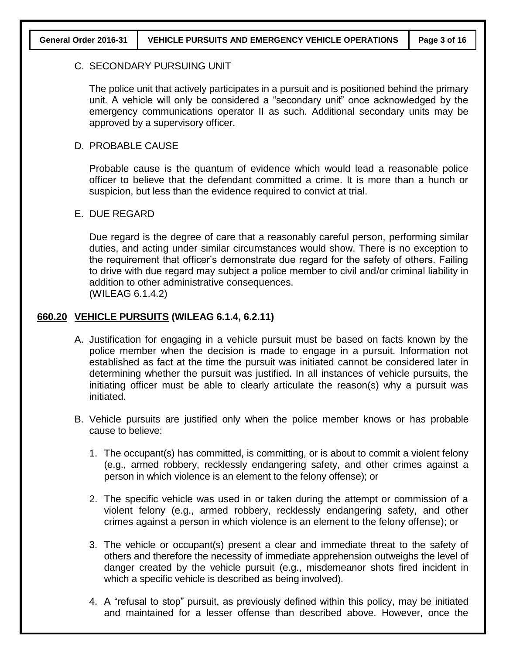#### C. SECONDARY PURSUING UNIT

The police unit that actively participates in a pursuit and is positioned behind the primary unit. A vehicle will only be considered a "secondary unit" once acknowledged by the emergency communications operator II as such. Additional secondary units may be approved by a supervisory officer.

#### D. PROBABLE CAUSE

Probable cause is the quantum of evidence which would lead a reasonable police officer to believe that the defendant committed a crime. It is more than a hunch or suspicion, but less than the evidence required to convict at trial.

#### E. DUE REGARD

Due regard is the degree of care that a reasonably careful person, performing similar duties, and acting under similar circumstances would show. There is no exception to the requirement that officer's demonstrate due regard for the safety of others. Failing to drive with due regard may subject a police member to civil and/or criminal liability in addition to other administrative consequences. (WILEAG 6.1.4.2)

#### **660.20 VEHICLE PURSUITS (WILEAG 6.1.4, 6.2.11)**

- A. Justification for engaging in a vehicle pursuit must be based on facts known by the police member when the decision is made to engage in a pursuit. Information not established as fact at the time the pursuit was initiated cannot be considered later in determining whether the pursuit was justified. In all instances of vehicle pursuits, the initiating officer must be able to clearly articulate the reason(s) why a pursuit was initiated.
- B. Vehicle pursuits are justified only when the police member knows or has probable cause to believe:
	- 1. The occupant(s) has committed, is committing, or is about to commit a violent felony (e.g., armed robbery, recklessly endangering safety, and other crimes against a person in which violence is an element to the felony offense); or
	- 2. The specific vehicle was used in or taken during the attempt or commission of a violent felony (e.g., armed robbery, recklessly endangering safety, and other crimes against a person in which violence is an element to the felony offense); or
	- 3. The vehicle or occupant(s) present a clear and immediate threat to the safety of others and therefore the necessity of immediate apprehension outweighs the level of danger created by the vehicle pursuit (e.g., misdemeanor shots fired incident in which a specific vehicle is described as being involved).
	- 4. A "refusal to stop" pursuit, as previously defined within this policy, may be initiated and maintained for a lesser offense than described above. However, once the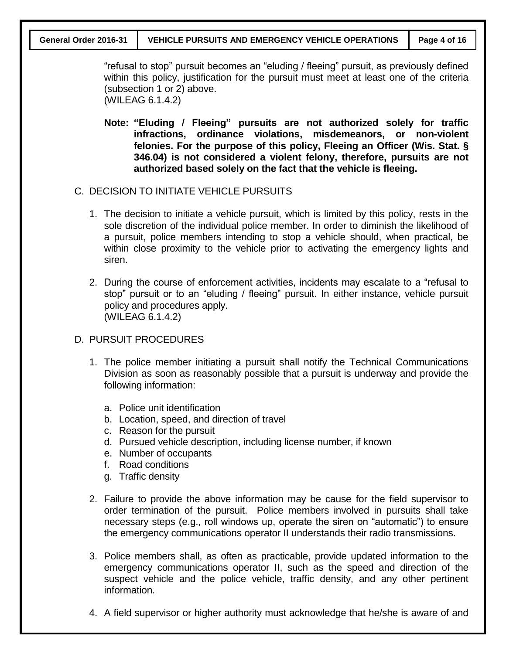"refusal to stop" pursuit becomes an "eluding / fleeing" pursuit, as previously defined within this policy, justification for the pursuit must meet at least one of the criteria (subsection 1 or 2) above.

(WILEAG 6.1.4.2)

- **Note: "Eluding / Fleeing" pursuits are not authorized solely for traffic infractions, ordinance violations, misdemeanors, or non-violent felonies. For the purpose of this policy, Fleeing an Officer (Wis. Stat. § 346.04) is not considered a violent felony, therefore, pursuits are not authorized based solely on the fact that the vehicle is fleeing.**
- C. DECISION TO INITIATE VEHICLE PURSUITS
	- 1. The decision to initiate a vehicle pursuit, which is limited by this policy, rests in the sole discretion of the individual police member. In order to diminish the likelihood of a pursuit, police members intending to stop a vehicle should, when practical, be within close proximity to the vehicle prior to activating the emergency lights and siren.
	- 2. During the course of enforcement activities, incidents may escalate to a "refusal to stop" pursuit or to an "eluding / fleeing" pursuit. In either instance, vehicle pursuit policy and procedures apply. (WILEAG 6.1.4.2)
- D. PURSUIT PROCEDURES
	- 1. The police member initiating a pursuit shall notify the Technical Communications Division as soon as reasonably possible that a pursuit is underway and provide the following information:
		- a. Police unit identification
		- b. Location, speed, and direction of travel
		- c. Reason for the pursuit
		- d. Pursued vehicle description, including license number, if known
		- e. Number of occupants
		- f. Road conditions
		- g. Traffic density
	- 2. Failure to provide the above information may be cause for the field supervisor to order termination of the pursuit. Police members involved in pursuits shall take necessary steps (e.g., roll windows up, operate the siren on "automatic") to ensure the emergency communications operator II understands their radio transmissions.
	- 3. Police members shall, as often as practicable, provide updated information to the emergency communications operator II, such as the speed and direction of the suspect vehicle and the police vehicle, traffic density, and any other pertinent information.
	- 4. A field supervisor or higher authority must acknowledge that he/she is aware of and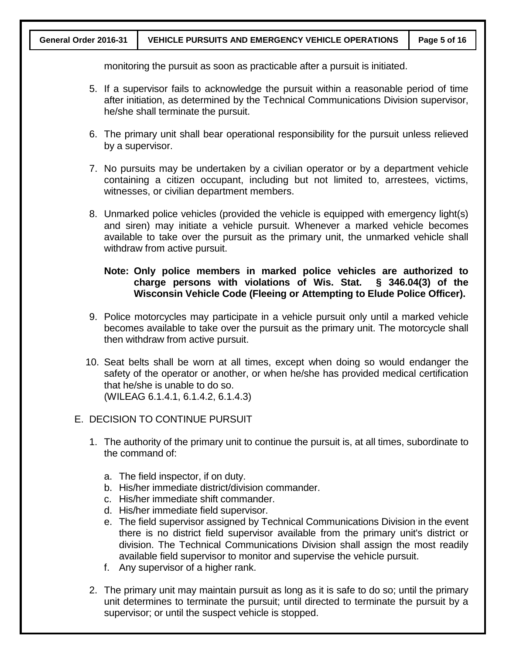monitoring the pursuit as soon as practicable after a pursuit is initiated.

- 5. If a supervisor fails to acknowledge the pursuit within a reasonable period of time after initiation, as determined by the Technical Communications Division supervisor, he/she shall terminate the pursuit.
- 6. The primary unit shall bear operational responsibility for the pursuit unless relieved by a supervisor.
- 7. No pursuits may be undertaken by a civilian operator or by a department vehicle containing a citizen occupant, including but not limited to, arrestees, victims, witnesses, or civilian department members.
- 8. Unmarked police vehicles (provided the vehicle is equipped with emergency light(s) and siren) may initiate a vehicle pursuit. Whenever a marked vehicle becomes available to take over the pursuit as the primary unit, the unmarked vehicle shall withdraw from active pursuit.

#### **Note: Only police members in marked police vehicles are authorized to charge persons with violations of Wis. Stat. § 346.04(3) of the Wisconsin Vehicle Code (Fleeing or Attempting to Elude Police Officer).**

- 9. Police motorcycles may participate in a vehicle pursuit only until a marked vehicle becomes available to take over the pursuit as the primary unit. The motorcycle shall then withdraw from active pursuit.
- 10. Seat belts shall be worn at all times, except when doing so would endanger the safety of the operator or another, or when he/she has provided medical certification that he/she is unable to do so. (WILEAG 6.1.4.1, 6.1.4.2, 6.1.4.3)

## E. DECISION TO CONTINUE PURSUIT

- 1. The authority of the primary unit to continue the pursuit is, at all times, subordinate to the command of:
	- a. The field inspector, if on duty.
	- b. His/her immediate district/division commander.
	- c. His/her immediate shift commander.
	- d. His/her immediate field supervisor.
	- e. The field supervisor assigned by Technical Communications Division in the event there is no district field supervisor available from the primary unit's district or division. The Technical Communications Division shall assign the most readily available field supervisor to monitor and supervise the vehicle pursuit.
	- f. Any supervisor of a higher rank.
- 2. The primary unit may maintain pursuit as long as it is safe to do so; until the primary unit determines to terminate the pursuit; until directed to terminate the pursuit by a supervisor; or until the suspect vehicle is stopped.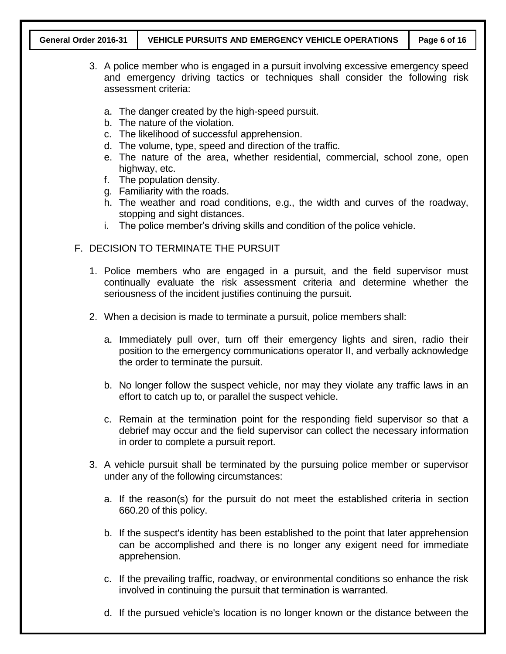- 3. A police member who is engaged in a pursuit involving excessive emergency speed and emergency driving tactics or techniques shall consider the following risk assessment criteria:
	- a. The danger created by the high-speed pursuit.
	- b. The nature of the violation.
	- c. The likelihood of successful apprehension.
	- d. The volume, type, speed and direction of the traffic.
	- e. The nature of the area, whether residential, commercial, school zone, open highway, etc.
	- f. The population density.
	- g. Familiarity with the roads.
	- h. The weather and road conditions, e.g., the width and curves of the roadway, stopping and sight distances.
	- i. The police member's driving skills and condition of the police vehicle.
- F. DECISION TO TERMINATE THE PURSUIT
	- 1. Police members who are engaged in a pursuit, and the field supervisor must continually evaluate the risk assessment criteria and determine whether the seriousness of the incident justifies continuing the pursuit.
	- 2. When a decision is made to terminate a pursuit, police members shall:
		- a. Immediately pull over, turn off their emergency lights and siren, radio their position to the emergency communications operator II, and verbally acknowledge the order to terminate the pursuit.
		- b. No longer follow the suspect vehicle, nor may they violate any traffic laws in an effort to catch up to, or parallel the suspect vehicle.
		- c. Remain at the termination point for the responding field supervisor so that a debrief may occur and the field supervisor can collect the necessary information in order to complete a pursuit report.
	- 3. A vehicle pursuit shall be terminated by the pursuing police member or supervisor under any of the following circumstances:
		- a. If the reason(s) for the pursuit do not meet the established criteria in section 660.20 of this policy.
		- b. If the suspect's identity has been established to the point that later apprehension can be accomplished and there is no longer any exigent need for immediate apprehension.
		- c. If the prevailing traffic, roadway, or environmental conditions so enhance the risk involved in continuing the pursuit that termination is warranted.
		- d. If the pursued vehicle's location is no longer known or the distance between the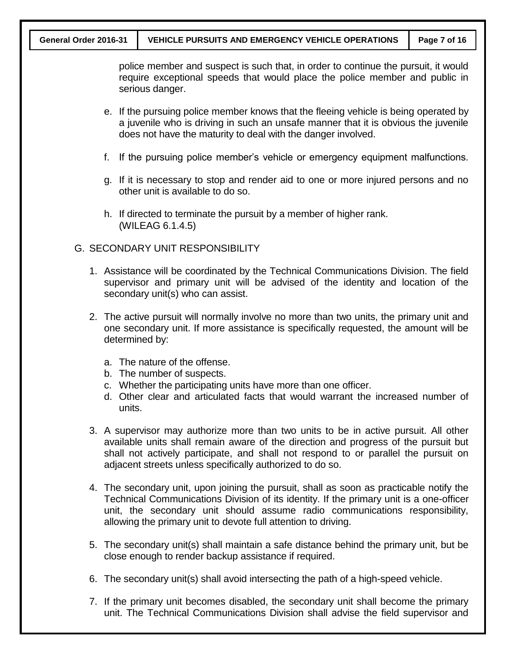police member and suspect is such that, in order to continue the pursuit, it would require exceptional speeds that would place the police member and public in serious danger.

- e. If the pursuing police member knows that the fleeing vehicle is being operated by a juvenile who is driving in such an unsafe manner that it is obvious the juvenile does not have the maturity to deal with the danger involved.
- f. If the pursuing police member's vehicle or emergency equipment malfunctions.
- g. If it is necessary to stop and render aid to one or more injured persons and no other unit is available to do so.
- h. If directed to terminate the pursuit by a member of higher rank. (WILEAG 6.1.4.5)

#### G. SECONDARY UNIT RESPONSIBILITY

- 1. Assistance will be coordinated by the Technical Communications Division. The field supervisor and primary unit will be advised of the identity and location of the secondary unit(s) who can assist.
- 2. The active pursuit will normally involve no more than two units, the primary unit and one secondary unit. If more assistance is specifically requested, the amount will be determined by:
	- a. The nature of the offense.
	- b. The number of suspects.
	- c. Whether the participating units have more than one officer.
	- d. Other clear and articulated facts that would warrant the increased number of units.
- 3. A supervisor may authorize more than two units to be in active pursuit. All other available units shall remain aware of the direction and progress of the pursuit but shall not actively participate, and shall not respond to or parallel the pursuit on adjacent streets unless specifically authorized to do so.
- 4. The secondary unit, upon joining the pursuit, shall as soon as practicable notify the Technical Communications Division of its identity. If the primary unit is a one-officer unit, the secondary unit should assume radio communications responsibility, allowing the primary unit to devote full attention to driving.
- 5. The secondary unit(s) shall maintain a safe distance behind the primary unit, but be close enough to render backup assistance if required.
- 6. The secondary unit(s) shall avoid intersecting the path of a high-speed vehicle.
- 7. If the primary unit becomes disabled, the secondary unit shall become the primary unit. The Technical Communications Division shall advise the field supervisor and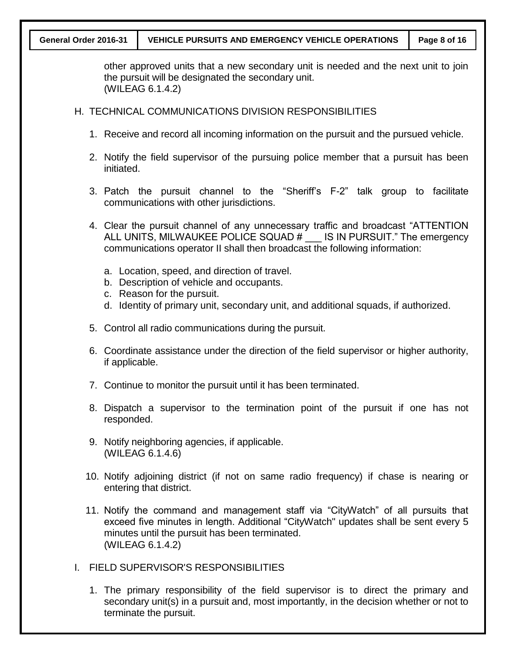#### **General Order 2016-31 VEHICLE PURSUITS AND EMERGENCY VEHICLE OPERATIONS Page 8 of 16**

other approved units that a new secondary unit is needed and the next unit to join the pursuit will be designated the secondary unit. (WILEAG 6.1.4.2)

#### H. TECHNICAL COMMUNICATIONS DIVISION RESPONSIBILITIES

- 1. Receive and record all incoming information on the pursuit and the pursued vehicle.
- 2. Notify the field supervisor of the pursuing police member that a pursuit has been initiated.
- 3. Patch the pursuit channel to the "Sheriff's F-2" talk group to facilitate communications with other jurisdictions.
- 4. Clear the pursuit channel of any unnecessary traffic and broadcast "ATTENTION ALL UNITS, MILWAUKEE POLICE SQUAD # \_\_\_ IS IN PURSUIT." The emergency communications operator II shall then broadcast the following information:
	- a. Location, speed, and direction of travel.
	- b. Description of vehicle and occupants.
	- c. Reason for the pursuit.
	- d. Identity of primary unit, secondary unit, and additional squads, if authorized.
- 5. Control all radio communications during the pursuit.
- 6. Coordinate assistance under the direction of the field supervisor or higher authority, if applicable.
- 7. Continue to monitor the pursuit until it has been terminated.
- 8. Dispatch a supervisor to the termination point of the pursuit if one has not responded.
- 9. Notify neighboring agencies, if applicable. (WILEAG 6.1.4.6)
- 10. Notify adjoining district (if not on same radio frequency) if chase is nearing or entering that district.
- 11. Notify the command and management staff via "CityWatch" of all pursuits that exceed five minutes in length. Additional "CityWatch" updates shall be sent every 5 minutes until the pursuit has been terminated. (WILEAG 6.1.4.2)
- I. FIELD SUPERVISOR'S RESPONSIBILITIES
	- 1. The primary responsibility of the field supervisor is to direct the primary and secondary unit(s) in a pursuit and, most importantly, in the decision whether or not to terminate the pursuit.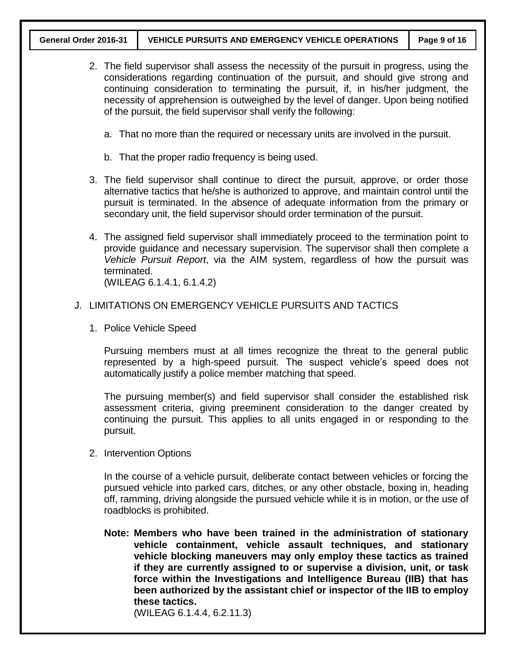- 2. The field supervisor shall assess the necessity of the pursuit in progress, using the considerations regarding continuation of the pursuit, and should give strong and continuing consideration to terminating the pursuit, if, in his/her judgment, the necessity of apprehension is outweighed by the level of danger. Upon being notified of the pursuit, the field supervisor shall verify the following:
	- a. That no more than the required or necessary units are involved in the pursuit.
	- b. That the proper radio frequency is being used.
- 3. The field supervisor shall continue to direct the pursuit, approve, or order those alternative tactics that he/she is authorized to approve, and maintain control until the pursuit is terminated. In the absence of adequate information from the primary or secondary unit, the field supervisor should order termination of the pursuit.
- 4. The assigned field supervisor shall immediately proceed to the termination point to provide guidance and necessary supervision. The supervisor shall then complete a *Vehicle Pursuit Report*, via the AIM system, regardless of how the pursuit was terminated. (WILEAG 6.1.4.1, 6.1.4.2)

#### J. LIMITATIONS ON EMERGENCY VEHICLE PURSUITS AND TACTICS

1. Police Vehicle Speed

Pursuing members must at all times recognize the threat to the general public represented by a high-speed pursuit. The suspect vehicle's speed does not automatically justify a police member matching that speed.

The pursuing member(s) and field supervisor shall consider the established risk assessment criteria, giving preeminent consideration to the danger created by continuing the pursuit. This applies to all units engaged in or responding to the pursuit.

2. Intervention Options

In the course of a vehicle pursuit, deliberate contact between vehicles or forcing the pursued vehicle into parked cars, ditches, or any other obstacle, boxing in, heading off, ramming, driving alongside the pursued vehicle while it is in motion, or the use of roadblocks is prohibited.

**Note: Members who have been trained in the administration of stationary vehicle containment, vehicle assault techniques, and stationary vehicle blocking maneuvers may only employ these tactics as trained if they are currently assigned to or supervise a division, unit, or task force within the Investigations and Intelligence Bureau (IIB) that has been authorized by the assistant chief or inspector of the IIB to employ these tactics.**

(WILEAG 6.1.4.4, 6.2.11.3)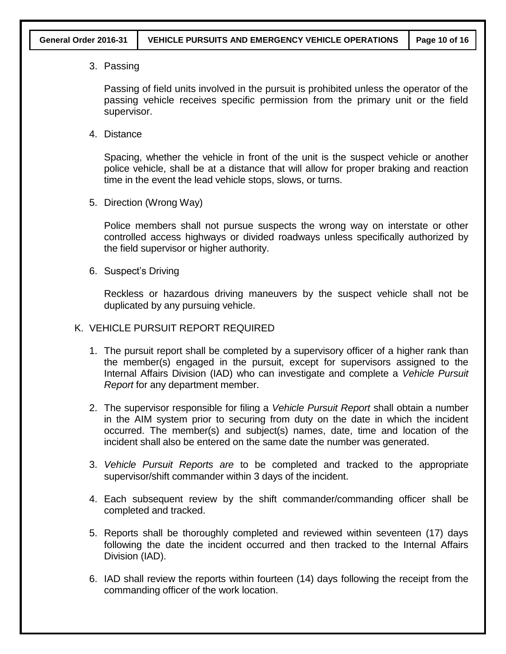3. Passing

Passing of field units involved in the pursuit is prohibited unless the operator of the passing vehicle receives specific permission from the primary unit or the field supervisor.

4. Distance

Spacing, whether the vehicle in front of the unit is the suspect vehicle or another police vehicle, shall be at a distance that will allow for proper braking and reaction time in the event the lead vehicle stops, slows, or turns.

5. Direction (Wrong Way)

Police members shall not pursue suspects the wrong way on interstate or other controlled access highways or divided roadways unless specifically authorized by the field supervisor or higher authority.

6. Suspect's Driving

Reckless or hazardous driving maneuvers by the suspect vehicle shall not be duplicated by any pursuing vehicle.

- K. VEHICLE PURSUIT REPORT REQUIRED
	- 1. The pursuit report shall be completed by a supervisory officer of a higher rank than the member(s) engaged in the pursuit, except for supervisors assigned to the Internal Affairs Division (IAD) who can investigate and complete a *Vehicle Pursuit Report* for any department member.
	- 2. The supervisor responsible for filing a *Vehicle Pursuit Report* shall obtain a number in the AIM system prior to securing from duty on the date in which the incident occurred. The member(s) and subject(s) names, date, time and location of the incident shall also be entered on the same date the number was generated.
	- 3. *Vehicle Pursuit Reports are* to be completed and tracked to the appropriate supervisor/shift commander within 3 days of the incident.
	- 4. Each subsequent review by the shift commander/commanding officer shall be completed and tracked.
	- 5. Reports shall be thoroughly completed and reviewed within seventeen (17) days following the date the incident occurred and then tracked to the Internal Affairs Division (IAD).
	- 6. IAD shall review the reports within fourteen (14) days following the receipt from the commanding officer of the work location.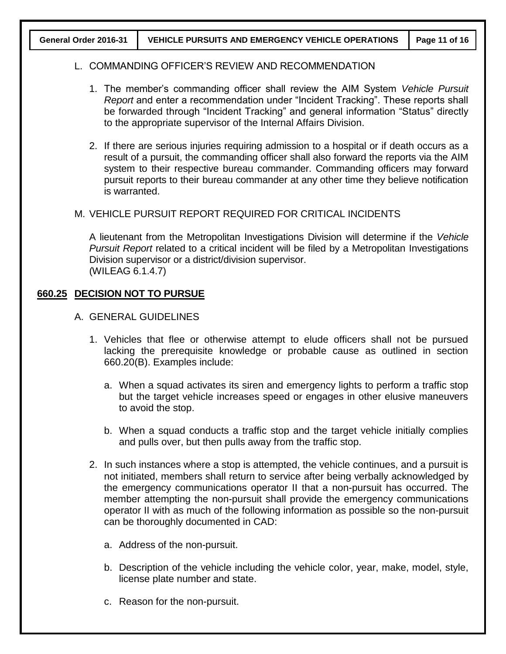#### L. COMMANDING OFFICER'S REVIEW AND RECOMMENDATION

- 1. The member's commanding officer shall review the AIM System *Vehicle Pursuit Report* and enter a recommendation under "Incident Tracking". These reports shall be forwarded through "Incident Tracking" and general information "Status" directly to the appropriate supervisor of the Internal Affairs Division.
- 2. If there are serious injuries requiring admission to a hospital or if death occurs as a result of a pursuit, the commanding officer shall also forward the reports via the AIM system to their respective bureau commander. Commanding officers may forward pursuit reports to their bureau commander at any other time they believe notification is warranted.

#### M. VEHICLE PURSUIT REPORT REQUIRED FOR CRITICAL INCIDENTS

A lieutenant from the Metropolitan Investigations Division will determine if the *Vehicle Pursuit Report* related to a critical incident will be filed by a Metropolitan Investigations Division supervisor or a district/division supervisor. (WILEAG 6.1.4.7)

#### **660.25 DECISION NOT TO PURSUE**

- A. GENERAL GUIDELINES
	- 1. Vehicles that flee or otherwise attempt to elude officers shall not be pursued lacking the prerequisite knowledge or probable cause as outlined in section 660.20(B). Examples include:
		- a. When a squad activates its siren and emergency lights to perform a traffic stop but the target vehicle increases speed or engages in other elusive maneuvers to avoid the stop.
		- b. When a squad conducts a traffic stop and the target vehicle initially complies and pulls over, but then pulls away from the traffic stop.
	- 2. In such instances where a stop is attempted, the vehicle continues, and a pursuit is not initiated, members shall return to service after being verbally acknowledged by the emergency communications operator II that a non-pursuit has occurred. The member attempting the non-pursuit shall provide the emergency communications operator II with as much of the following information as possible so the non-pursuit can be thoroughly documented in CAD:
		- a. Address of the non-pursuit.
		- b. Description of the vehicle including the vehicle color, year, make, model, style, license plate number and state.
		- c. Reason for the non-pursuit.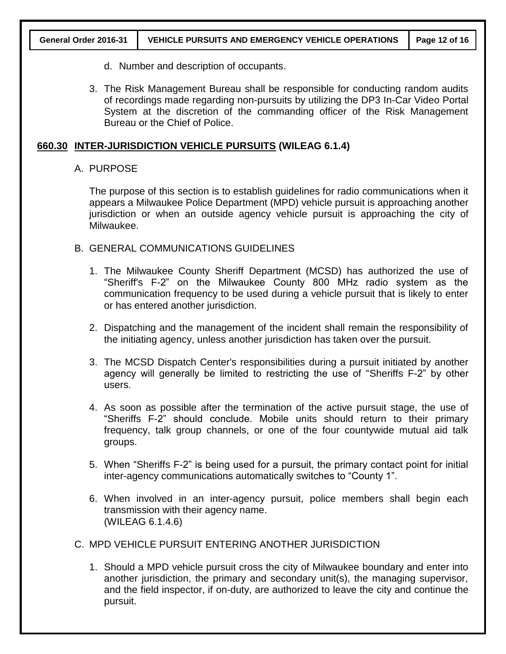- d. Number and description of occupants.
- 3. The Risk Management Bureau shall be responsible for conducting random audits of recordings made regarding non-pursuits by utilizing the DP3 In-Car Video Portal System at the discretion of the commanding officer of the Risk Management Bureau or the Chief of Police.

#### **660.30 INTER-JURISDICTION VEHICLE PURSUITS (WILEAG 6.1.4)**

#### A. PURPOSE

The purpose of this section is to establish guidelines for radio communications when it appears a Milwaukee Police Department (MPD) vehicle pursuit is approaching another jurisdiction or when an outside agency vehicle pursuit is approaching the city of Milwaukee.

- B. GENERAL COMMUNICATIONS GUIDELINES
	- 1. The Milwaukee County Sheriff Department (MCSD) has authorized the use of "Sheriff's F-2" on the Milwaukee County 800 MHz radio system as the communication frequency to be used during a vehicle pursuit that is likely to enter or has entered another jurisdiction.
	- 2. Dispatching and the management of the incident shall remain the responsibility of the initiating agency, unless another jurisdiction has taken over the pursuit.
	- 3. The MCSD Dispatch Center's responsibilities during a pursuit initiated by another agency will generally be limited to restricting the use of "Sheriffs F-2" by other users.
	- 4. As soon as possible after the termination of the active pursuit stage, the use of "Sheriffs F-2" should conclude. Mobile units should return to their primary frequency, talk group channels, or one of the four countywide mutual aid talk groups.
	- 5. When "Sheriffs F-2" is being used for a pursuit, the primary contact point for initial inter-agency communications automatically switches to "County 1".
	- 6. When involved in an inter-agency pursuit, police members shall begin each transmission with their agency name. (WILEAG 6.1.4.6)
- C. MPD VEHICLE PURSUIT ENTERING ANOTHER JURISDICTION
	- 1. Should a MPD vehicle pursuit cross the city of Milwaukee boundary and enter into another jurisdiction, the primary and secondary unit(s), the managing supervisor, and the field inspector, if on-duty, are authorized to leave the city and continue the pursuit.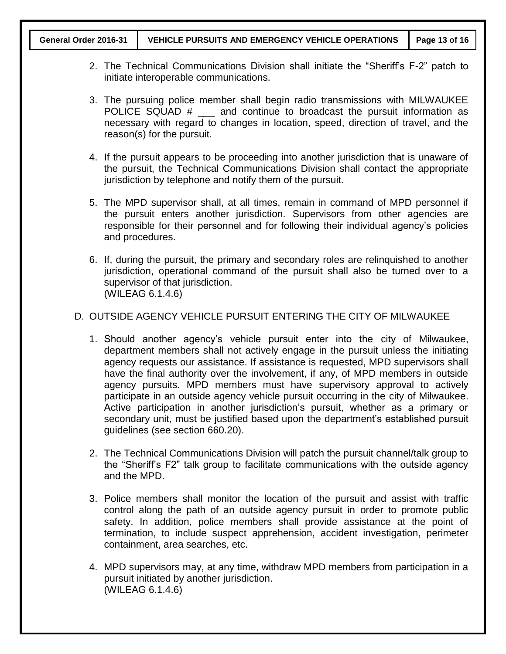- 2. The Technical Communications Division shall initiate the "Sheriff's F-2" patch to initiate interoperable communications.
- 3. The pursuing police member shall begin radio transmissions with MILWAUKEE POLICE SQUAD  $#$   $\qquad$  and continue to broadcast the pursuit information as necessary with regard to changes in location, speed, direction of travel, and the reason(s) for the pursuit.
- 4. If the pursuit appears to be proceeding into another jurisdiction that is unaware of the pursuit, the Technical Communications Division shall contact the appropriate jurisdiction by telephone and notify them of the pursuit.
- 5. The MPD supervisor shall, at all times, remain in command of MPD personnel if the pursuit enters another jurisdiction. Supervisors from other agencies are responsible for their personnel and for following their individual agency's policies and procedures.
- 6. If, during the pursuit, the primary and secondary roles are relinquished to another jurisdiction, operational command of the pursuit shall also be turned over to a supervisor of that jurisdiction. (WILEAG 6.1.4.6)

## D. OUTSIDE AGENCY VEHICLE PURSUIT ENTERING THE CITY OF MILWAUKEE

- 1. Should another agency's vehicle pursuit enter into the city of Milwaukee, department members shall not actively engage in the pursuit unless the initiating agency requests our assistance. If assistance is requested, MPD supervisors shall have the final authority over the involvement, if any, of MPD members in outside agency pursuits. MPD members must have supervisory approval to actively participate in an outside agency vehicle pursuit occurring in the city of Milwaukee. Active participation in another jurisdiction's pursuit, whether as a primary or secondary unit, must be justified based upon the department's established pursuit guidelines (see section 660.20).
- 2. The Technical Communications Division will patch the pursuit channel/talk group to the "Sheriff's F2" talk group to facilitate communications with the outside agency and the MPD.
- 3. Police members shall monitor the location of the pursuit and assist with traffic control along the path of an outside agency pursuit in order to promote public safety. In addition, police members shall provide assistance at the point of termination, to include suspect apprehension, accident investigation, perimeter containment, area searches, etc.
- 4. MPD supervisors may, at any time, withdraw MPD members from participation in a pursuit initiated by another jurisdiction. (WILEAG 6.1.4.6)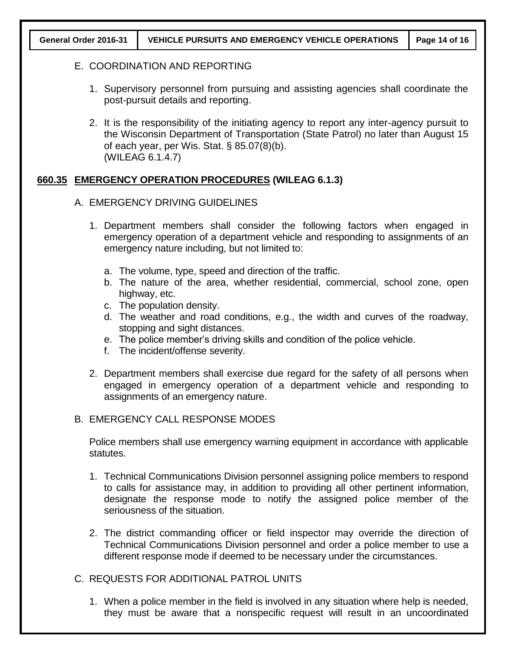#### E. COORDINATION AND REPORTING

- 1. Supervisory personnel from pursuing and assisting agencies shall coordinate the post-pursuit details and reporting.
- 2. It is the responsibility of the initiating agency to report any inter-agency pursuit to the Wisconsin Department of Transportation (State Patrol) no later than August 15 of each year, per Wis. Stat. § 85.07(8)(b). (WILEAG 6.1.4.7)

## **660.35 EMERGENCY OPERATION PROCEDURES (WILEAG 6.1.3)**

- A. EMERGENCY DRIVING GUIDELINES
	- 1. Department members shall consider the following factors when engaged in emergency operation of a department vehicle and responding to assignments of an emergency nature including, but not limited to:
		- a. The volume, type, speed and direction of the traffic.
		- b. The nature of the area, whether residential, commercial, school zone, open highway, etc.
		- c. The population density.
		- d. The weather and road conditions, e.g., the width and curves of the roadway, stopping and sight distances.
		- e. The police member's driving skills and condition of the police vehicle.
		- f. The incident/offense severity.
	- 2. Department members shall exercise due regard for the safety of all persons when engaged in emergency operation of a department vehicle and responding to assignments of an emergency nature.

## B. EMERGENCY CALL RESPONSE MODES

Police members shall use emergency warning equipment in accordance with applicable statutes.

- 1. Technical Communications Division personnel assigning police members to respond to calls for assistance may, in addition to providing all other pertinent information, designate the response mode to notify the assigned police member of the seriousness of the situation.
- 2. The district commanding officer or field inspector may override the direction of Technical Communications Division personnel and order a police member to use a different response mode if deemed to be necessary under the circumstances.

## C. REQUESTS FOR ADDITIONAL PATROL UNITS

1. When a police member in the field is involved in any situation where help is needed, they must be aware that a nonspecific request will result in an uncoordinated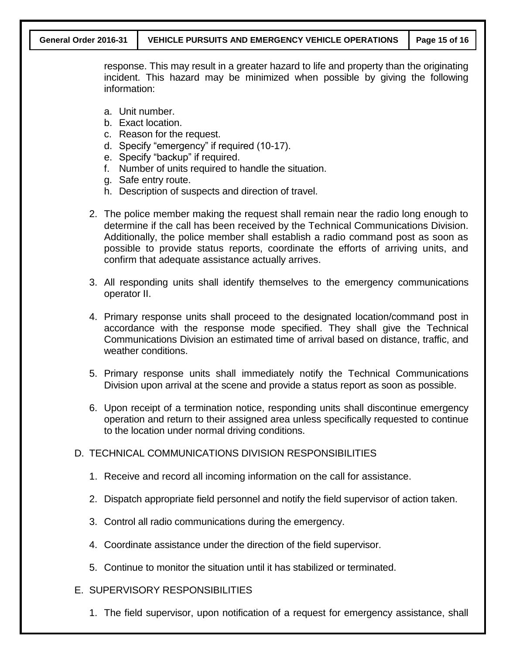response. This may result in a greater hazard to life and property than the originating incident. This hazard may be minimized when possible by giving the following information:

- a. Unit number.
- b. Exact location.
- c. Reason for the request.
- d. Specify "emergency" if required (10-17).
- e. Specify "backup" if required.
- f. Number of units required to handle the situation.
- g. Safe entry route.
- h. Description of suspects and direction of travel.
- 2. The police member making the request shall remain near the radio long enough to determine if the call has been received by the Technical Communications Division. Additionally, the police member shall establish a radio command post as soon as possible to provide status reports, coordinate the efforts of arriving units, and confirm that adequate assistance actually arrives.
- 3. All responding units shall identify themselves to the emergency communications operator II.
- 4. Primary response units shall proceed to the designated location/command post in accordance with the response mode specified. They shall give the Technical Communications Division an estimated time of arrival based on distance, traffic, and weather conditions.
- 5. Primary response units shall immediately notify the Technical Communications Division upon arrival at the scene and provide a status report as soon as possible.
- 6. Upon receipt of a termination notice, responding units shall discontinue emergency operation and return to their assigned area unless specifically requested to continue to the location under normal driving conditions.

## D. TECHNICAL COMMUNICATIONS DIVISION RESPONSIBILITIES

- 1. Receive and record all incoming information on the call for assistance.
- 2. Dispatch appropriate field personnel and notify the field supervisor of action taken.
- 3. Control all radio communications during the emergency.
- 4. Coordinate assistance under the direction of the field supervisor.
- 5. Continue to monitor the situation until it has stabilized or terminated.

## E. SUPERVISORY RESPONSIBILITIES

1. The field supervisor, upon notification of a request for emergency assistance, shall